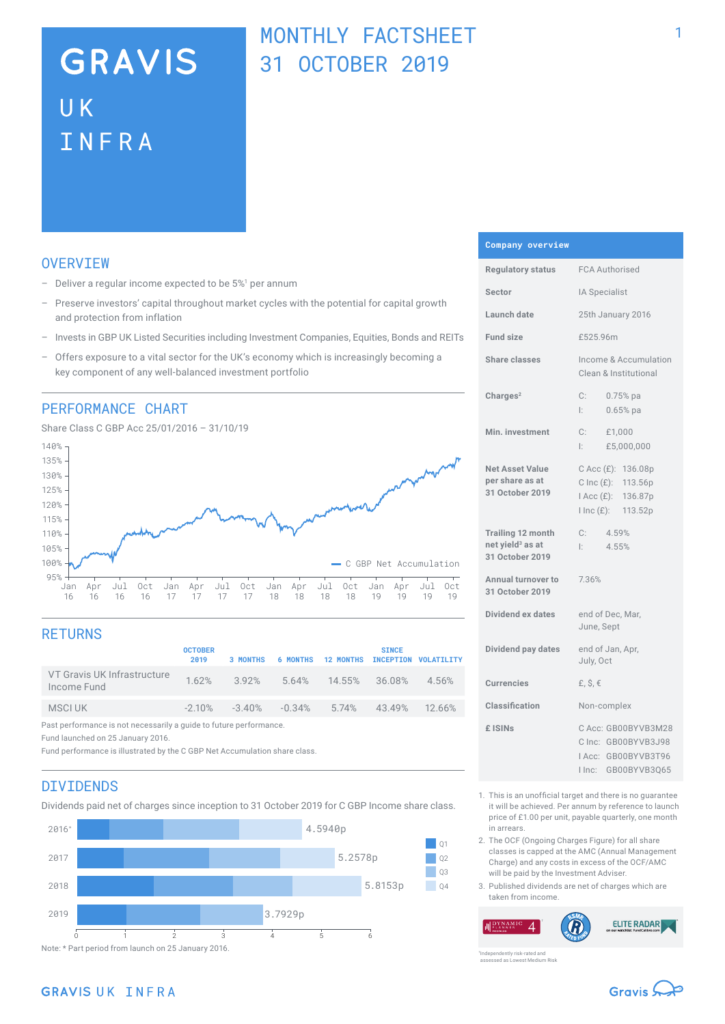# **GRAVIS** UK INFRA

## MONTHLY FACTSHEET 31 OCTOBER 2019

## **OVERVTEW**

- $-$  Deliver a regular income expected to be  $5\%$ <sup>1</sup> per annum
- Preserve investors' capital throughout market cycles with the potential for capital growth and protection from inflation
- Invests in GBP UK Listed Securities including Investment Companies, Equities, Bonds and REITs
- Offers exposure to a vital sector for the UK's economy which is increasingly becoming a key component of any well-balanced investment portfolio

### PERFORMANCE CHART

Share Class C GBP Acc 25/01/2016 – 31/10/19



## **RETURNS**

|                                                                    | <b>OCTOBER</b><br>2019 | <b>3 MONTHS</b>                     |  |  | <b>SINCE</b>  | 6 MONTHS 12 MONTHS INCEPTION VOLATILITY |
|--------------------------------------------------------------------|------------------------|-------------------------------------|--|--|---------------|-----------------------------------------|
| VT Gravis UK Infrastructure<br>Income Fund                         |                        | 1.62% 3.92% 5.64% 14.55% 36.08%     |  |  |               | 4.56%                                   |
| MSCI UK                                                            |                        | $-2.10\%$ $-3.40\%$ $-0.34\%$ 5.74% |  |  | 43.49% 12.66% |                                         |
| Past performance is not necessarily a guide to future performance. |                        |                                     |  |  |               |                                         |

Fund launched on 25 January 2016.

Fund performance is illustrated by the C GBP Net Accumulation share class.

### DIVIDENDS

Dividends paid net of charges since inception to 31 October 2019 for C GBP Income share class.



#### **Company overview**

| <b>Regulatory status</b>                                                    | <b>FCA Authorised</b>                                                                                   |  |  |
|-----------------------------------------------------------------------------|---------------------------------------------------------------------------------------------------------|--|--|
| Sector                                                                      | IA Specialist                                                                                           |  |  |
| Launch date                                                                 | 25th January 2016                                                                                       |  |  |
| <b>Fund size</b>                                                            | £525.96m                                                                                                |  |  |
| Share classes                                                               | Income & Accumulation<br>Clean & Institutional                                                          |  |  |
| Charles <sup>2</sup>                                                        | $C$ :<br>$0.75%$ pa<br>Ŀ.<br>$0.65%$ pa                                                                 |  |  |
| Min. investment                                                             | C:<br>£1,000<br>£5,000,000<br>l: I                                                                      |  |  |
| <b>Net Asset Value</b><br>per share as at<br>31 October 2019                | C Acc (£): 136.08p<br>$C$ Inc $(E)$ :<br>113.56p<br>$Acc(E)$ :<br>136.87p<br>$l$ Inc $(E)$ :<br>113.52p |  |  |
| <b>Trailing 12 month</b><br>net yield <sup>3</sup> as at<br>31 October 2019 | C:<br>4.59%<br>4.55%<br>Ŀ.                                                                              |  |  |
| Annual turnover to<br>31 October 2019                                       | 7.36%                                                                                                   |  |  |
| Dividend ex dates                                                           | end of Dec, Mar,<br>June, Sept                                                                          |  |  |
| Dividend pay dates                                                          | end of Jan, Apr,<br>July, Oct                                                                           |  |  |
| <b>Currencies</b>                                                           | £, $$, €$                                                                                               |  |  |
| Classification                                                              | Non-complex                                                                                             |  |  |
| £ ISIN <sub>S</sub>                                                         | C Acc: GB00BYVB3M28<br>C Inc: GB00BYVB3J98<br>IAcc: GB00BYVB3T96<br>GB00BYVB3Q65<br>I Inc:              |  |  |

- 1. This is an unofficial target and there is no guarantee it will be achieved. Per annum by reference to launch price of £1.00 per unit, payable quarterly, one month in arrears.
- 2. The OCF (Ongoing Charges Figure) for all share classes is capped at the AMC (Annual Management Charge) and any costs in excess of the OCF/AMC will be paid by the Investment Adviser.
- 3. Published dividends are net of charges which are taken from income.

**ELITE RADAR**  $\boldsymbol{\varDelta}$ 

ently risk-rated and assessed as Lowest Medium Risk



## GRAVIS UK INFRA

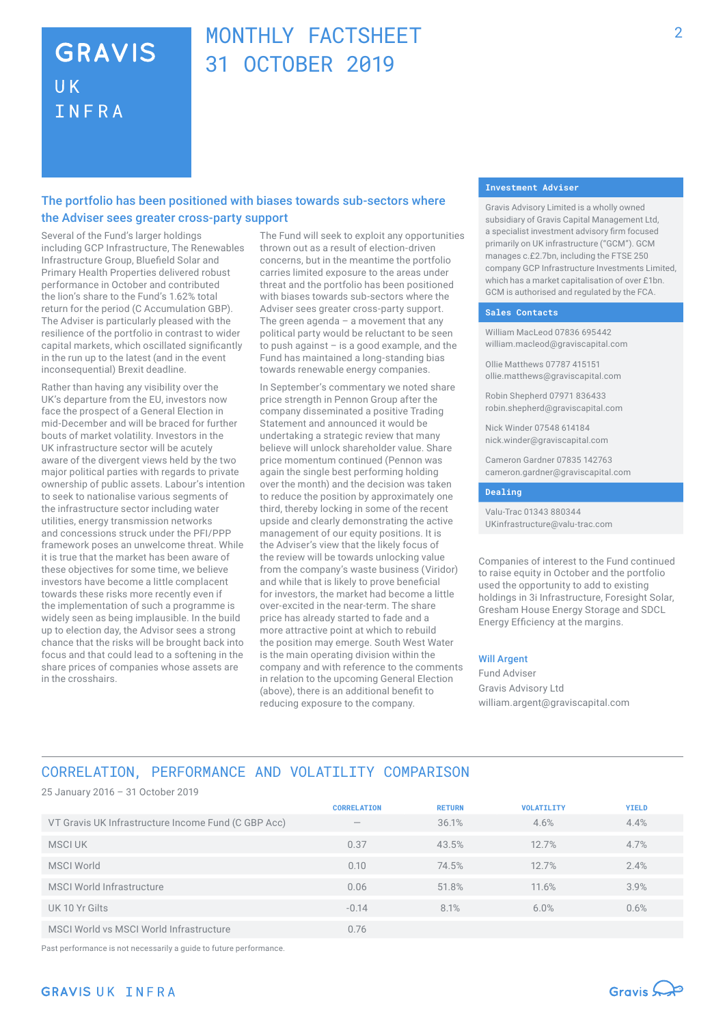## **GRAVIS UK** INFRA

## MONTHLY FACTSHEFT 31 OCTOBER 2019

## The portfolio has been positioned with biases towards sub-sectors where the Adviser sees greater cross-party support

Several of the Fund's larger holdings including GCP Infrastructure, The Renewables Infrastructure Group, Bluefield Solar and Primary Health Properties delivered robust performance in October and contributed the lion's share to the Fund's 1.62% total return for the period (C Accumulation GBP). The Adviser is particularly pleased with the resilience of the portfolio in contrast to wider capital markets, which oscillated significantly in the run up to the latest (and in the event inconsequential) Brexit deadline.

Rather than having any visibility over the UK's departure from the EU, investors now face the prospect of a General Election in mid-December and will be braced for further bouts of market volatility. Investors in the UK infrastructure sector will be acutely aware of the divergent views held by the two major political parties with regards to private ownership of public assets. Labour's intention to seek to nationalise various segments of the infrastructure sector including water utilities, energy transmission networks and concessions struck under the PFI/PPP framework poses an unwelcome threat. While it is true that the market has been aware of these objectives for some time, we believe investors have become a little complacent towards these risks more recently even if the implementation of such a programme is widely seen as being implausible. In the build up to election day, the Advisor sees a strong chance that the risks will be brought back into focus and that could lead to a softening in the share prices of companies whose assets are in the crosshairs.

The Fund will seek to exploit any opportunities thrown out as a result of election-driven concerns, but in the meantime the portfolio carries limited exposure to the areas under threat and the portfolio has been positioned with biases towards sub-sectors where the Adviser sees greater cross-party support. The green agenda  $-$  a movement that any political party would be reluctant to be seen to push against – is a good example, and the Fund has maintained a long-standing bias towards renewable energy companies.

In September's commentary we noted share price strength in Pennon Group after the company disseminated a positive Trading Statement and announced it would be undertaking a strategic review that many believe will unlock shareholder value. Share price momentum continued (Pennon was again the single best performing holding over the month) and the decision was taken to reduce the position by approximately one third, thereby locking in some of the recent upside and clearly demonstrating the active management of our equity positions. It is the Adviser's view that the likely focus of the review will be towards unlocking value from the company's waste business (Viridor) and while that is likely to prove beneficial for investors, the market had become a little over‑excited in the near-term. The share price has already started to fade and a more attractive point at which to rebuild the position may emerge. South West Water is the main operating division within the company and with reference to the comments in relation to the upcoming General Election (above), there is an additional benefit to reducing exposure to the company.

#### **Investment Adviser**

Gravis Advisory Limited is a wholly owned subsidiary of Gravis Capital Management Ltd, a specialist investment advisory firm focused primarily on UK infrastructure ("GCM"). GCM manages c.£2.7bn, including the FTSE 250 company GCP Infrastructure Investments Limited, which has a market capitalisation of over £1bn. GCM is authorised and regulated by the FCA.

#### **Sales Contacts**

William MacLeod 07836 695442 william.macleod@graviscapital.com

Ollie Matthews 07787 415151 ollie.matthews@graviscapital.com

Robin Shepherd 07971 836433 robin.shepherd@graviscapital.com

Nick Winder 07548 614184 nick.winder@graviscapital.com

Cameron Gardner 07835 142763 cameron.gardner@graviscapital.com

#### **Dealing**

Valu-Trac 01343 880344 UKinfrastructure@valu-trac.com

Companies of interest to the Fund continued to raise equity in October and the portfolio used the opportunity to add to existing holdings in 3i Infrastructure, Foresight Solar, Gresham House Energy Storage and SDCL Energy Efficiency at the margins.

#### Will Argent

Fund Adviser Gravis Advisory Ltd william.argent@graviscapital.com

## CORRELATION, PERFORMANCE AND VOLATILITY COMPARISON

25 January 2016 – 31 October 2019 **CORRELATION RETURN VOLATILITY YIELD** VT Gravis UK Infrastructure Income Fund (C GBP Acc) — 36.1% 4.6% 4.4% MSCI UK 0.37 43.5% 12.7% 4.7% MSCI World 0.10 74.5% 12.7% 2.4% MSCI World Infrastructure 2.9% 11.6% 11.6% 11.6% 3.9% 11.6% 11.6% 11.6% 11.6% 11.6% 11.6% 11.6% 11.6% 11.6% 11.6% 11.6% 11.6% 11.6% 11.6% 11.6% 11.6% 11.6% 11.6% 11.6% 11.6% 11.6% 11.6% 11.6% 11.6% 11.6% 11.6% 11.6% 11.6% UK 10 Yr Gilts -0.14 8.1% 6.0% 0.6% MSCI World vs MSCI World Infrastructure 0.76

Past performance is not necessarily a guide to future performance.